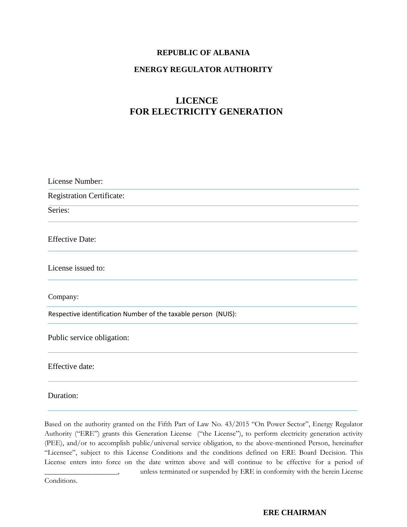#### **REPUBLIC OF ALBANIA**

#### **ENERGY REGULATOR AUTHORITY**

## **LICENCE FOR ELECTRICITY GENERATION**

| License Number:                                                |  |  |
|----------------------------------------------------------------|--|--|
| <b>Registration Certificate:</b>                               |  |  |
| Series:                                                        |  |  |
| <b>Effective Date:</b>                                         |  |  |
| License issued to:                                             |  |  |
| Company:                                                       |  |  |
| Respective identification Number of the taxable person (NUIS): |  |  |
| Public service obligation:                                     |  |  |
| Effective date:                                                |  |  |
| Duration:                                                      |  |  |

Based on the authority granted on the Fifth Part of Law No. 43/2015 "On Power Sector", Energy Regulator Authority ("ERE") grants this Generation License ("the License"), to perform electricity generation activity (PEE), and/or to accomplish public/universal service obligation, to the above-mentioned Person, hereinafter "Licensee", subject to this License Conditions and the conditions defined on ERE Board Decision. This License enters into force on the date written above and will continue to be effective for a period of

Conditions.

unless terminated or suspended by ERE in conformity with the herein License

#### **ERE CHAIRMAN**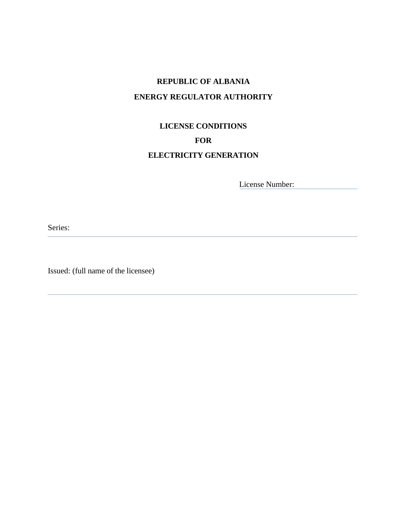## **REPUBLIC OF ALBANIA ENERGY REGULATOR AUTHORITY**

# **LICENSE CONDITIONS FOR**

## **ELECTRICITY GENERATION**

License Number:

Series:

Issued: (full name of the licensee)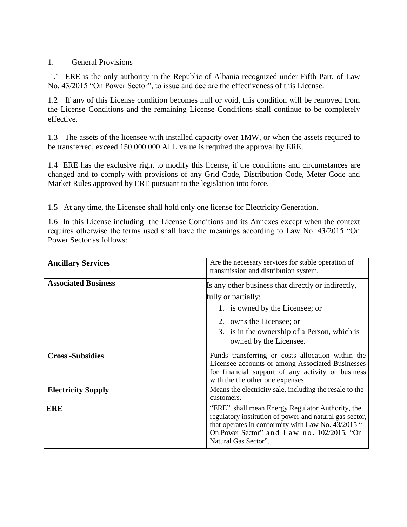#### 1. General Provisions

1.1 ERE is the only authority in the Republic of Albania recognized under Fifth Part, of Law No. 43/2015 "On Power Sector", to issue and declare the effectiveness of this License.

1.2 If any of this License condition becomes null or void, this condition will be removed from the License Conditions and the remaining License Conditions shall continue to be completely effective.

1.3 The assets of the licensee with installed capacity over 1MW, or when the assets required to be transferred, exceed 150.000.000 ALL value is required the approval by ERE.

1.4 ERE has the exclusive right to modify this license, if the conditions and circumstances are changed and to comply with provisions of any Grid Code, Distribution Code, Meter Code and Market Rules approved by ERE pursuant to the legislation into force.

1.5 At any time, the Licensee shall hold only one license for Electricity Generation.

1.6 In this License including the License Conditions and its Annexes except when the context requires otherwise the terms used shall have the meanings according to Law No. 43/2015 "On Power Sector as follows:

| <b>Ancillary Services</b>  | Are the necessary services for stable operation of<br>transmission and distribution system.                                                                                                                                             |
|----------------------------|-----------------------------------------------------------------------------------------------------------------------------------------------------------------------------------------------------------------------------------------|
| <b>Associated Business</b> | Is any other business that directly or indirectly,<br>fully or partially:<br>1. is owned by the Licensee; or<br>2. owns the Licensee; or<br>3. is in the ownership of a Person, which is                                                |
|                            | owned by the Licensee.                                                                                                                                                                                                                  |
| <b>Cross-Subsidies</b>     | Funds transferring or costs allocation within the<br>Licensee accounts or among Associated Businesses<br>for financial support of any activity or business<br>with the the other one expenses.                                          |
| <b>Electricity Supply</b>  | Means the electricity sale, including the resale to the<br>customers.                                                                                                                                                                   |
| <b>ERE</b>                 | "ERE" shall mean Energy Regulator Authority, the<br>regulatory institution of power and natural gas sector,<br>that operates in conformity with Law No. 43/2015 "<br>On Power Sector" and Law no. 102/2015, "On<br>Natural Gas Sector". |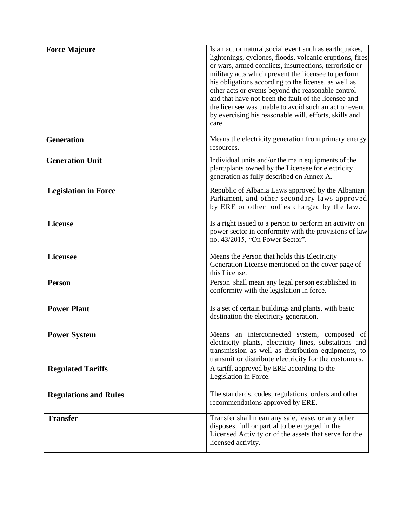| <b>Force Majeure</b>         | Is an act or natural, social event such as earthquakes,<br>lightenings, cyclones, floods, volcanic eruptions, fires<br>or wars, armed conflicts, insurrections, terroristic or<br>military acts which prevent the licensee to perform<br>his obligations according to the license, as well as<br>other acts or events beyond the reasonable control<br>and that have not been the fault of the licensee and<br>the licensee was unable to avoid such an act or event<br>by exercising his reasonable will, efforts, skills and<br>care |
|------------------------------|----------------------------------------------------------------------------------------------------------------------------------------------------------------------------------------------------------------------------------------------------------------------------------------------------------------------------------------------------------------------------------------------------------------------------------------------------------------------------------------------------------------------------------------|
| <b>Generation</b>            | Means the electricity generation from primary energy<br>resources.                                                                                                                                                                                                                                                                                                                                                                                                                                                                     |
| <b>Generation Unit</b>       | Individual units and/or the main equipments of the<br>plant/plants owned by the Licensee for electricity<br>generation as fully described on Annex A.                                                                                                                                                                                                                                                                                                                                                                                  |
| <b>Legislation in Force</b>  | Republic of Albania Laws approved by the Albanian<br>Parliament, and other secondary laws approved<br>by ERE or other bodies charged by the law.                                                                                                                                                                                                                                                                                                                                                                                       |
| License                      | Is a right issued to a person to perform an activity on<br>power sector in conformity with the provisions of law<br>no. 43/2015, "On Power Sector".                                                                                                                                                                                                                                                                                                                                                                                    |
| <b>Licensee</b>              | Means the Person that holds this Electricity<br>Generation License mentioned on the cover page of<br>this License.                                                                                                                                                                                                                                                                                                                                                                                                                     |
| <b>Person</b>                | Person shall mean any legal person established in<br>conformity with the legislation in force.                                                                                                                                                                                                                                                                                                                                                                                                                                         |
| <b>Power Plant</b>           | Is a set of certain buildings and plants, with basic<br>destination the electricity generation.                                                                                                                                                                                                                                                                                                                                                                                                                                        |
| <b>Power System</b>          | Means an interconnected system, composed of<br>electricity plants, electricity lines, substations and<br>transmission as well as distribution equipments, to<br>transmit or distribute electricity for the customers.                                                                                                                                                                                                                                                                                                                  |
| <b>Regulated Tariffs</b>     | A tariff, approved by ERE according to the<br>Legislation in Force.                                                                                                                                                                                                                                                                                                                                                                                                                                                                    |
| <b>Regulations and Rules</b> | The standards, codes, regulations, orders and other<br>recommendations approved by ERE.                                                                                                                                                                                                                                                                                                                                                                                                                                                |
| <b>Transfer</b>              | Transfer shall mean any sale, lease, or any other<br>disposes, full or partial to be engaged in the<br>Licensed Activity or of the assets that serve for the<br>licensed activity.                                                                                                                                                                                                                                                                                                                                                     |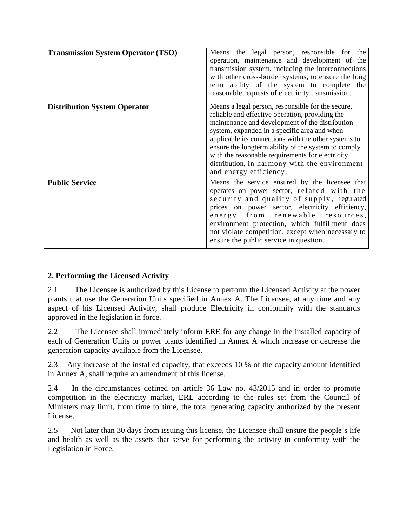| <b>Transmission System Operator (TSO)</b> | Means the legal person, responsible for the<br>operation, maintenance and development of the<br>transmission system, including the interconnections<br>with other cross-border systems, to ensure the long<br>term ability of the system to complete the<br>reasonable requests of electricity transmission.                                                                                                                                          |
|-------------------------------------------|-------------------------------------------------------------------------------------------------------------------------------------------------------------------------------------------------------------------------------------------------------------------------------------------------------------------------------------------------------------------------------------------------------------------------------------------------------|
| <b>Distribution System Operator</b>       | Means a legal person, responsible for the secure,<br>reliable and effective operation, providing the<br>maintenance and development of the distribution<br>system, expanded in a specific area and when<br>applicable its connections with the other systems to<br>ensure the longterm ability of the system to comply<br>with the reasonable requirements for electricity<br>distribution, in harmony with the environment<br>and energy efficiency. |
| <b>Public Service</b>                     | Means the service ensured by the licensee that<br>operates on power sector, related with the<br>security and quality of supply, regulated<br>prices on power sector, electricity efficiency,<br>energy from renewable resources,<br>environment protection, which fulfillment does<br>not violate competition, except when necessary to<br>ensure the public service in question.                                                                     |

## **2. Performing the Licensed Activity**

2.1 The Licensee is authorized by this License to perform the Licensed Activity at the power plants that use the Generation Units specified in Annex A. The Licensee, at any time and any aspect of his Licensed Activity, shall produce Electricity in conformity with the standards approved in the legislation in force.

2.2 The Licensee shall immediately inform ERE for any change in the installed capacity of each of Generation Units or power plants identified in Annex A which increase or decrease the generation capacity available from the Licensee.

2.3 Any increase of the installed capacity, that exceeds 10 % of the capacity amount identified in Annex A, shall require an amendment of this license.

2.4 In the circumstances defined on article 36 Law no. 43/2015 and in order to promote competition in the electricity market, ERE according to the rules set from the Council of Ministers may limit, from time to time, the total generating capacity authorized by the present License.

2.5 Not later than 30 days from issuing this license, the Licensee shall ensure the people's life and health as well as the assets that serve for performing the activity in conformity with the Legislation in Force.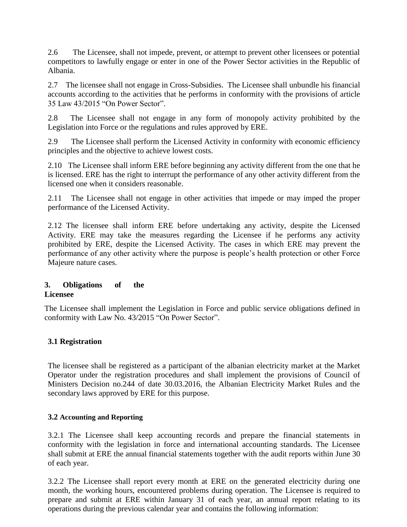2.6 The Licensee, shall not impede, prevent, or attempt to prevent other licensees or potential competitors to lawfully engage or enter in one of the Power Sector activities in the Republic of Albania.

2.7 The licensee shall not engage in Cross-Subsidies. The Licensee shall unbundle his financial accounts according to the activities that he performs in conformity with the provisions of article 35 Law 43/2015 "On Power Sector".

2.8 The Licensee shall not engage in any form of monopoly activity prohibited by the Legislation into Force or the regulations and rules approved by ERE.

2.9 The Licensee shall perform the Licensed Activity in conformity with economic efficiency principles and the objective to achieve lowest costs.

2.10 The Licensee shall inform ERE before beginning any activity different from the one that he is licensed. ERE has the right to interrupt the performance of any other activity different from the licensed one when it considers reasonable.

2.11 The Licensee shall not engage in other activities that impede or may imped the proper performance of the Licensed Activity.

2.12 The licensee shall inform ERE before undertaking any activity, despite the Licensed Activity. ERE may take the measures regarding the Licensee if he performs any activity prohibited by ERE, despite the Licensed Activity. The cases in which ERE may prevent the performance of any other activity where the purpose is people's health protection or other Force Majeure nature cases.

#### **3. Obligations of the Licensee**

The Licensee shall implement the Legislation in Force and public service obligations defined in conformity with Law No. 43/2015 "On Power Sector".

## **3.1 Registration**

The licensee shall be registered as a participant of the albanian electricity market at the Market Operator under the registration procedures and shall implement the provisions of Council of Ministers Decision no.244 of date 30.03.2016, the Albanian Electricity Market Rules and the secondary laws approved by ERE for this purpose.

#### **3.2 Accounting and Reporting**

3.2.1 The Licensee shall keep accounting records and prepare the financial statements in conformity with the legislation in force and international accounting standards. The Licensee shall submit at ERE the annual financial statements together with the audit reports within June 30 of each year.

3.2.2 The Licensee shall report every month at ERE on the generated electricity during one month, the working hours, encountered problems during operation. The Licensee is required to prepare and submit at ERE within January 31 of each year, an annual report relating to its operations during the previous calendar year and contains the following information: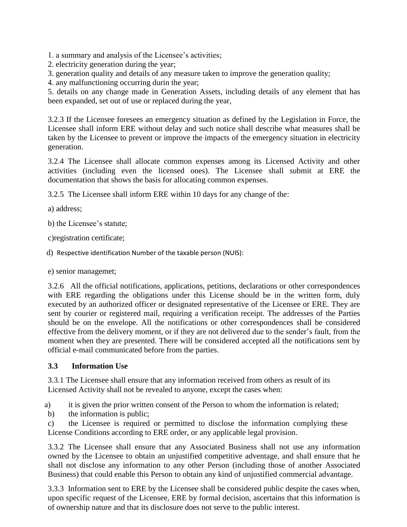1. a summary and analysis of the Licensee's activities;

- 2. electricity generation during the year;
- 3. generation quality and details of any measure taken to improve the generation quality;

4. any malfunctioning occurring durin the year;

5. details on any change made in Generation Assets, including details of any element that has been expanded, set out of use or replaced during the year,

3.2.3 If the Licensee foresees an emergency situation as defined by the Legislation in Force, the Licensee shall inform ERE without delay and such notice shall describe what measures shall be taken by the Licensee to prevent or improve the impacts of the emergency situation in electricity generation.

3.2.4 The Licensee shall allocate common expenses among its Licensed Activity and other activities (including even the licensed ones). The Licensee shall submit at ERE the documentation that shows the basis for allocating common expenses.

3.2.5 The Licensee shall inform ERE within 10 days for any change of the:

a) address;

b) the Licensee's statute;

c)registration certificate;

d) Respective identification Number of the taxable person (NUIS):

e) senior managemet;

3.2.6 All the official notifications, applications, petitions, declarations or other correspondences with ERE regarding the obligations under this License should be in the written form, duly executed by an authorized officer or designated representative of the Licensee or ERE. They are sent by courier or registered mail, requiring a verification receipt. The addresses of the Parties should be on the envelope. All the notifications or other correspondences shall be considered effective from the delivery moment, or if they are not delivered due to the sender's fault, from the moment when they are presented. There will be considered accepted all the notifications sent by official e-mail communicated before from the parties.

## **3.3 Information Use**

3.3.1 The Licensee shall ensure that any information received from others as result of its Licensed Activity shall not be revealed to anyone, except the cases when:

a) it is given the prior written consent of the Person to whom the information is related;

b) the information is public;

c) the Licensee is required or permitted to disclose the information complying these License Conditions according to ERE order, or any applicable legal provision.

3.3.2 The Licensee shall ensure that any Associated Business shall not use any information owned by the Licensee to obtain an unjustified competitive adventage, and shall ensure that he shall not disclose any information to any other Person (including those of another Associated Business) that could enable this Person to obtain any kind of unjustified commercial advantage.

3.3.3 Information sent to ERE by the Licensee shall be considered public despite the cases when, upon specific request of the Licensee, ERE by formal decision, ascertains that this information is of ownership nature and that its disclosure does not serve to the public interest.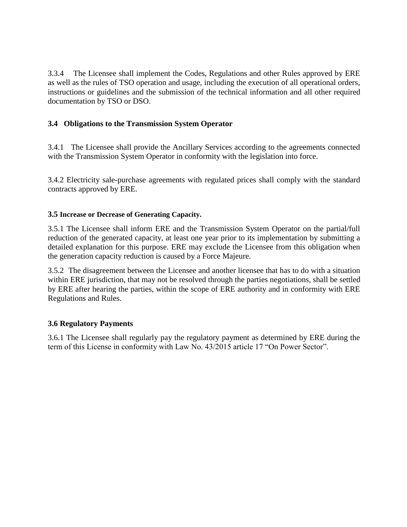3.3.4 The Licensee shall implement the Codes, Regulations and other Rules approved by ERE as well as the rules of TSO operation and usage, including the execution of all operational orders, instructions or guidelines and the submission of the technical information and all other required documentation by TSO or DSO.

#### **3.4 Obligations to the Transmission System Operator**

3.4.1 The Licensee shall provide the Ancillary Services according to the agreements connected with the Transmission System Operator in conformity with the legislation into force.

3.4.2 Electricity sale-purchase agreements with regulated prices shall comply with the standard contracts approved by ERE.

#### **3.5 Increase or Decrease of Generating Capacity.**

3.5.1 The Licensee shall inform ERE and the Transmission System Operator on the partial/full reduction of the generated capacity, at least one year prior to its implementation by submitting a detailed explanation for this purpose. ERE may exclude the Licensee from this obligation when the generation capacity reduction is caused by a Force Majeure.

3.5.2 The disagreement between the Licensee and another licensee that has to do with a situation within ERE jurisdiction, that may not be resolved through the parties negotiations, shall be settled by ERE after hearing the parties, within the scope of ERE authority and in conformity with ERE Regulations and Rules.

#### **3.6 Regulatory Payments**

3.6.1 The Licensee shall regularly pay the regulatory payment as determined by ERE during the term of this License in conformity with Law No. 43/2015 article 17 "On Power Sector".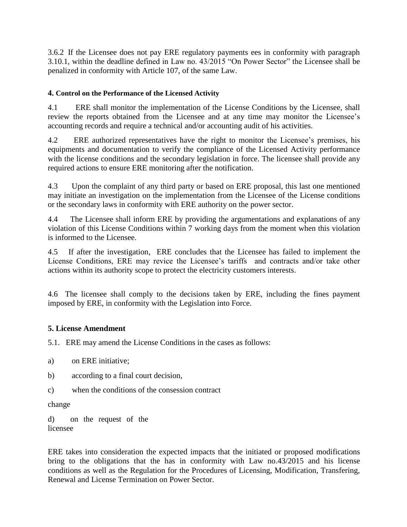3.6.2 If the Licensee does not pay ERE regulatory payments ees in conformity with paragraph 3.10.1, within the deadline defined in Law no. 43/2015 "On Power Sector" the Licensee shall be penalized in conformity with Article 107, of the same Law.

#### **4. Control on the Performance of the Licensed Activity**

4.1 ERE shall monitor the implementation of the License Conditions by the Licensee, shall review the reports obtained from the Licensee and at any time may monitor the Licensee's accounting records and require a technical and/or accounting audit of his activities.

4.2 ERE authorized representatives have the right to monitor the Licensee's premises, his equipments and documentation to verify the compliance of the Licensed Activity performance with the license conditions and the secondary legislation in force. The licensee shall provide any required actions to ensure ERE monitoring after the notification.

4.3 Upon the complaint of any third party or based on ERE proposal, this last one mentioned may initiate an investigation on the implementation from the Licensee of the License conditions or the secondary laws in conformity with ERE authority on the power sector.

4.4 The Licensee shall inform ERE by providing the argumentations and explanations of any violation of this License Conditions within 7 working days from the moment when this violation is informed to the Licensee.

4.5 If after the investigation, ERE concludes that the Licensee has failed to implement the License Conditions, ERE may revice the Licensee's tariffs and contracts and/or take other actions within its authority scope to protect the electricity customers interests.

4.6 The licensee shall comply to the decisions taken by ERE, including the fines payment imposed by ERE, in conformity with the Legislation into Force.

#### **5. License Amendment**

5.1. ERE may amend the License Conditions in the cases as follows:

a) on ERE initiative;

- b) according to a final court decision,
- c) when the conditions of the consession contract

change

d) on the request of the licensee

ERE takes into consideration the expected impacts that the initiated or proposed modifications bring to the obligations that the has in conformity with Law no.43/2015 and his license conditions as well as the Regulation for the Procedures of Licensing, Modification, Transfering, Renewal and License Termination on Power Sector.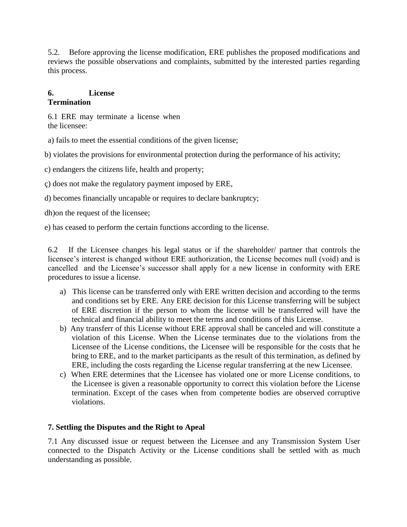5.2. Before approving the license modification, ERE publishes the proposed modifications and reviews the possible observations and complaints, submitted by the interested parties regarding this process.

#### **6. License Termination**

6.1 ERE may terminate a license when the licensee:

a) fails to meet the essential conditions of the given license;

b) violates the provisions for environmental protection during the performance of his activity;

c) endangers the citizens life, health and property;

ç) does not make the regulatory payment imposed by ERE,

d) becomes financially uncapable or requires to declare bankruptcy;

dh)on the request of the licensee;

e) has ceased to perform the certain functions according to the license.

6.2 If the Licensee changes his legal status or if the shareholder/ partner that controls the licensee's interest is changed without ERE authorization, the License becomes null (void) and is cancelled and the Licensee's successor shall apply for a new license in conformity with ERE procedures to issue a license.

- a) This license can be transferred only with ERE written decision and according to the terms and conditions set by ERE. Any ERE decision for this License transferring will be subject of ERE discretion if the person to whom the license will be transferred will have the technical and financial ability to meet the terms and conditions of this License.
- b) Any transferr of this License without ERE approval shall be canceled and will constitute a violation of this License. When the License terminates due to the violations from the Licensee of the License conditions, the Licensee will be responsible for the costs that he bring to ERE, and to the market participants as the result of this termination, as defined by ERE, including the costs regarding the License regular transferring at the new Licensee.
- c) When ERE determines that the Licensee has violated one or more License conditions, to the Licensee is given a reasonable opportunity to correct this violation before the License termination. Except of the cases when from competente bodies are observed corruptive violations.

#### **7. Settling the Disputes and the Right to Apeal**

7.1 Any discussed issue or request between the Licensee and any Transmission System User connected to the Dispatch Activity or the License conditions shall be settled with as much understanding as possible.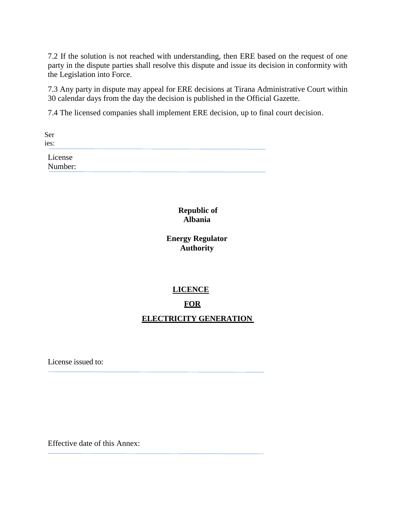7.2 If the solution is not reached with understanding, then ERE based on the request of one party in the dispute parties shall resolve this dispute and issue its decision in conformity with the Legislation into Force.

7.3 Any party in dispute may appeal for ERE decisions at Tirana Administrative Court within 30 calendar days from the day the decision is published in the Official Gazette.

7.4 The licensed companies shall implement ERE decision, up to final court decision.

Ser ies:

> License Number:

> > **Republic of Albania**

**Energy Regulator Authority** 

#### **LICENCE**

#### **FOR**

#### **ELECTRICITY GENERATION**

License issued to:

Effective date of this Annex: